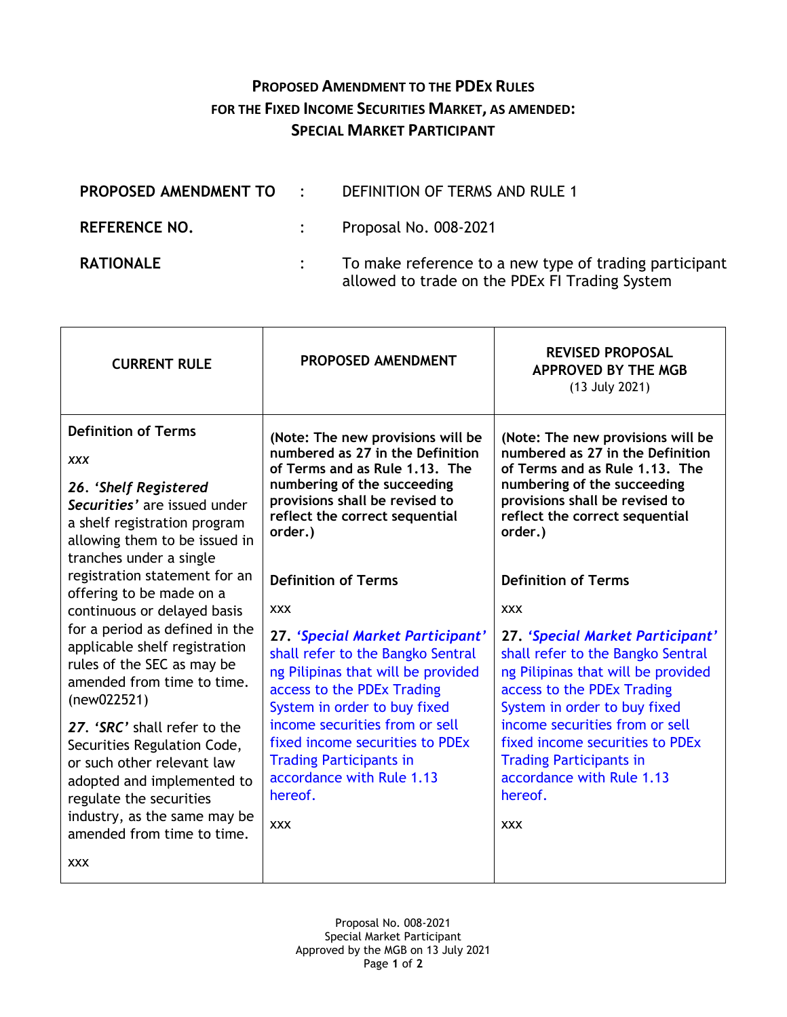## **PROPOSED AMENDMENT TO THE PDEX RULES FOR THE FIXED INCOME SECURITIES MARKET, AS AMENDED: SPECIAL MARKET PARTICIPANT**

| PROPOSED AMENDMENT TO : | DEFINITION OF TERMS AND RULE 1                                                                           |
|-------------------------|----------------------------------------------------------------------------------------------------------|
| <b>REFERENCE NO.</b>    | Proposal No. 008-2021                                                                                    |
| <b>RATIONALE</b>        | To make reference to a new type of trading participant<br>allowed to trade on the PDEx FI Trading System |

| <b>CURRENT RULE</b>                                                                                                                                                                                                                    | PROPOSED AMENDMENT                                                                                                                                                                                                                                                                                                                                   | <b>REVISED PROPOSAL</b><br><b>APPROVED BY THE MGB</b><br>(13 July 2021)                                                                                                                                                                                                                                                                              |
|----------------------------------------------------------------------------------------------------------------------------------------------------------------------------------------------------------------------------------------|------------------------------------------------------------------------------------------------------------------------------------------------------------------------------------------------------------------------------------------------------------------------------------------------------------------------------------------------------|------------------------------------------------------------------------------------------------------------------------------------------------------------------------------------------------------------------------------------------------------------------------------------------------------------------------------------------------------|
| <b>Definition of Terms</b><br><b>XXX</b><br>26. 'Shelf Registered<br>Securities' are issued under<br>a shelf registration program<br>allowing them to be issued in<br>tranches under a single                                          | (Note: The new provisions will be<br>numbered as 27 in the Definition<br>of Terms and as Rule 1.13. The<br>numbering of the succeeding<br>provisions shall be revised to<br>reflect the correct sequential<br>order.)                                                                                                                                | (Note: The new provisions will be<br>numbered as 27 in the Definition<br>of Terms and as Rule 1.13. The<br>numbering of the succeeding<br>provisions shall be revised to<br>reflect the correct sequential<br>order.)                                                                                                                                |
| registration statement for an<br>offering to be made on a<br>continuous or delayed basis<br>for a period as defined in the<br>applicable shelf registration<br>rules of the SEC as may be<br>amended from time to time.<br>(new022521) | <b>Definition of Terms</b>                                                                                                                                                                                                                                                                                                                           | <b>Definition of Terms</b>                                                                                                                                                                                                                                                                                                                           |
|                                                                                                                                                                                                                                        | <b>XXX</b><br>27. 'Special Market Participant'<br>shall refer to the Bangko Sentral<br>ng Pilipinas that will be provided<br>access to the PDEx Trading<br>System in order to buy fixed<br>income securities from or sell<br>fixed income securities to PDEx<br><b>Trading Participants in</b><br>accordance with Rule 1.13<br>hereof.<br><b>XXX</b> | <b>XXX</b><br>27. 'Special Market Participant'<br>shall refer to the Bangko Sentral<br>ng Pilipinas that will be provided<br>access to the PDEx Trading<br>System in order to buy fixed<br>income securities from or sell<br>fixed income securities to PDEx<br><b>Trading Participants in</b><br>accordance with Rule 1.13<br>hereof.<br><b>XXX</b> |
| 27. 'SRC' shall refer to the<br>Securities Regulation Code,<br>or such other relevant law<br>adopted and implemented to<br>regulate the securities<br>industry, as the same may be<br>amended from time to time.                       |                                                                                                                                                                                                                                                                                                                                                      |                                                                                                                                                                                                                                                                                                                                                      |
| <b>XXX</b>                                                                                                                                                                                                                             |                                                                                                                                                                                                                                                                                                                                                      |                                                                                                                                                                                                                                                                                                                                                      |